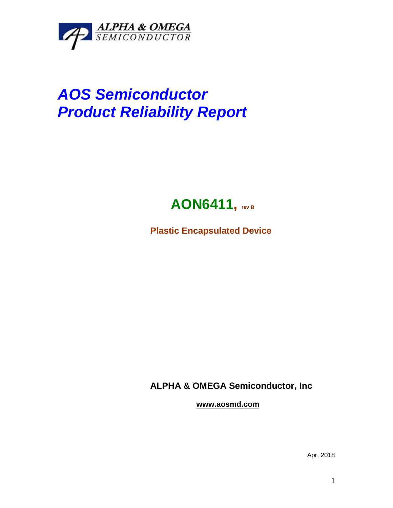

## *AOS Semiconductor Product Reliability Report*



**Plastic Encapsulated Device**

**ALPHA & OMEGA Semiconductor, Inc**

**www.aosmd.com**

Apr, 2018